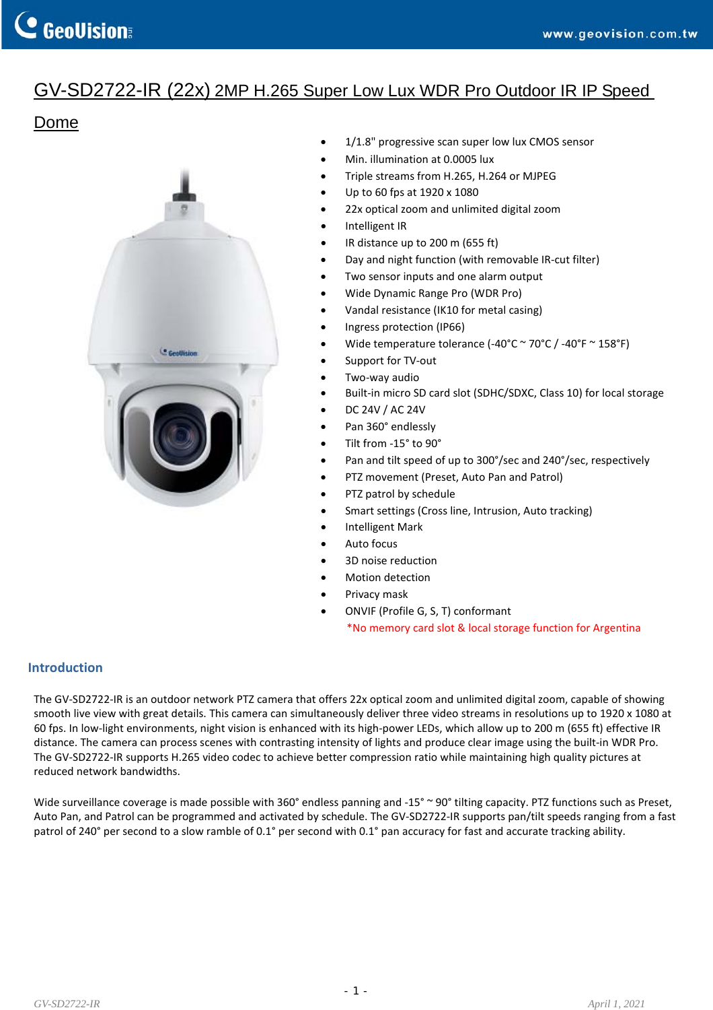# GV-SD2722-IR (22x) 2MP H.265 Super Low Lux WDR Pro Outdoor IR IP Speed

## Dome



- 1/1.8" progressive scan super low lux CMOS sensor
- Min. illumination at 0.0005 lux
- Triple streams from H.265, H.264 or MJPEG
- Up to 60 fps at 1920 x 1080
- 22x optical zoom and unlimited digital zoom
- Intelligent IR
- IR distance up to 200 m (655 ft)
- Day and night function (with removable IR‐cut filter)
- Two sensor inputs and one alarm output
- Wide Dynamic Range Pro (WDR Pro)
- Vandal resistance (IK10 for metal casing)
- Ingress protection (IP66)
- Wide temperature tolerance (‐40°C ~ 70°C / ‐40°F ~ 158°F)
- Support for TV‐out
- Two‐way audio
- Built‐in micro SD card slot (SDHC/SDXC, Class 10) for local storage
- DC 24V / AC 24V
- Pan 360° endlessly
- Tilt from ‐15° to 90°
- Pan and tilt speed of up to 300°/sec and 240°/sec, respectively
- PTZ movement (Preset, Auto Pan and Patrol)
- PTZ patrol by schedule
- Smart settings (Cross line, Intrusion, Auto tracking)
- Intelligent Mark
- Auto focus
- 3D noise reduction
- Motion detection
- Privacy mask
- ONVIF (Profile G, S, T) conformant \*No memory card slot & local storage function for Argentina

### **Introduction**

The GV-SD2722-IR is an outdoor network PTZ camera that offers 22x optical zoom and unlimited digital zoom, capable of showing smooth live view with great details. This camera can simultaneously deliver three video streams in resolutions up to 1920 x 1080 at 60 fps. In low‐light environments, night vision is enhanced with its high‐power LEDs, which allow up to 200 m (655 ft) effective IR distance. The camera can process scenes with contrasting intensity of lights and produce clear image using the built-in WDR Pro. The GV‐SD2722‐IR supports H.265 video codec to achieve better compression ratio while maintaining high quality pictures at reduced network bandwidths.

Wide surveillance coverage is made possible with 360° endless panning and -15° ~ 90° tilting capacity. PTZ functions such as Preset, Auto Pan, and Patrol can be programmed and activated by schedule. The GV‐SD2722‐IR supports pan/tilt speeds ranging from a fast patrol of 240° per second to a slow ramble of 0.1° per second with 0.1° pan accuracy for fast and accurate tracking ability.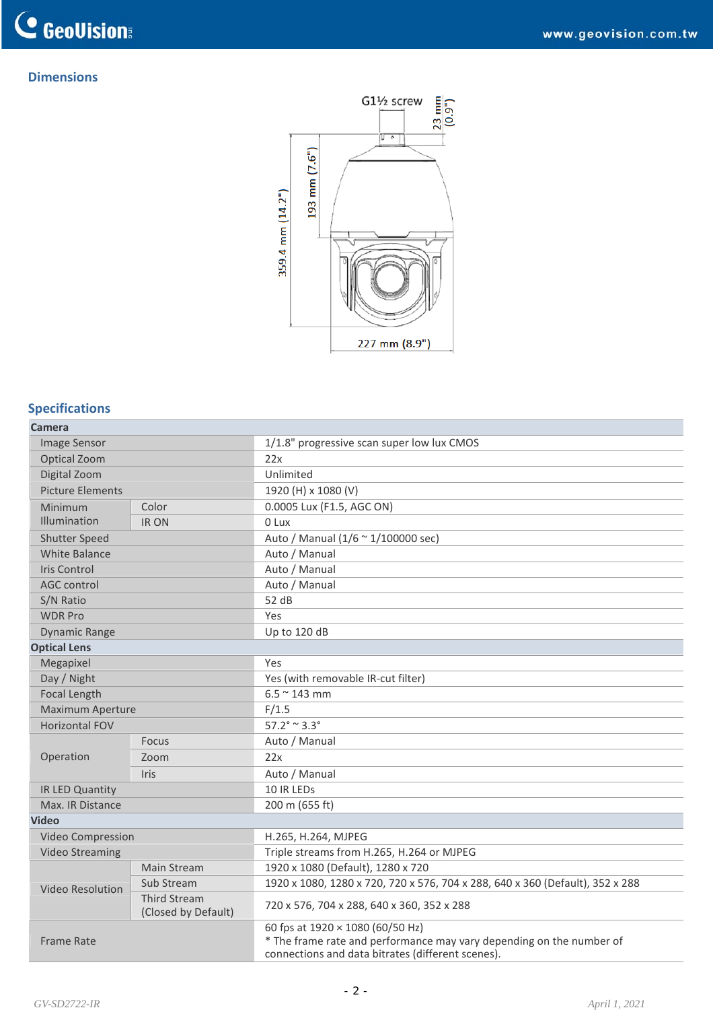### **Dimensions**



## **Specifications**

| <b>Camera</b>           |                                            |                                                                                                                                                               |  |  |  |
|-------------------------|--------------------------------------------|---------------------------------------------------------------------------------------------------------------------------------------------------------------|--|--|--|
| <b>Image Sensor</b>     |                                            | 1/1.8" progressive scan super low lux CMOS                                                                                                                    |  |  |  |
| Optical Zoom            |                                            | 22x                                                                                                                                                           |  |  |  |
| Digital Zoom            |                                            | Unlimited                                                                                                                                                     |  |  |  |
| <b>Picture Elements</b> |                                            | 1920 (H) x 1080 (V)                                                                                                                                           |  |  |  |
| Minimum                 | Color                                      | 0.0005 Lux (F1.5, AGC ON)                                                                                                                                     |  |  |  |
| Illumination            | IR ON                                      | 0 Lux                                                                                                                                                         |  |  |  |
| <b>Shutter Speed</b>    |                                            | Auto / Manual (1/6 ~ 1/100000 sec)                                                                                                                            |  |  |  |
| <b>White Balance</b>    |                                            | Auto / Manual                                                                                                                                                 |  |  |  |
| <b>Iris Control</b>     |                                            | Auto / Manual                                                                                                                                                 |  |  |  |
| <b>AGC control</b>      |                                            | Auto / Manual                                                                                                                                                 |  |  |  |
| S/N Ratio               |                                            | 52 dB                                                                                                                                                         |  |  |  |
| <b>WDR Pro</b>          |                                            | Yes                                                                                                                                                           |  |  |  |
| <b>Dynamic Range</b>    |                                            | Up to 120 dB                                                                                                                                                  |  |  |  |
| <b>Optical Lens</b>     |                                            |                                                                                                                                                               |  |  |  |
| Megapixel               |                                            | Yes                                                                                                                                                           |  |  |  |
| Day / Night             |                                            | Yes (with removable IR-cut filter)                                                                                                                            |  |  |  |
| Focal Length            |                                            | $6.5 \approx 143$ mm                                                                                                                                          |  |  |  |
| Maximum Aperture        |                                            | F/1.5                                                                                                                                                         |  |  |  |
| <b>Horizontal FOV</b>   |                                            | $57.2^{\circ} \approx 3.3^{\circ}$                                                                                                                            |  |  |  |
|                         | <b>Focus</b>                               | Auto / Manual                                                                                                                                                 |  |  |  |
| Operation               | Zoom                                       | 22x                                                                                                                                                           |  |  |  |
|                         | <b>Iris</b>                                | Auto / Manual                                                                                                                                                 |  |  |  |
| IR LED Quantity         |                                            | 10 IR LEDS                                                                                                                                                    |  |  |  |
| Max. IR Distance        |                                            | 200 m (655 ft)                                                                                                                                                |  |  |  |
| <b>Video</b>            |                                            |                                                                                                                                                               |  |  |  |
| Video Compression       |                                            | H.265, H.264, MJPEG                                                                                                                                           |  |  |  |
| <b>Video Streaming</b>  |                                            | Triple streams from H.265, H.264 or MJPEG                                                                                                                     |  |  |  |
| Video Resolution        | Main Stream                                | 1920 x 1080 (Default), 1280 x 720                                                                                                                             |  |  |  |
|                         | Sub Stream                                 | 1920 x 1080, 1280 x 720, 720 x 576, 704 x 288, 640 x 360 (Default), 352 x 288                                                                                 |  |  |  |
|                         | <b>Third Stream</b><br>(Closed by Default) | 720 x 576, 704 x 288, 640 x 360, 352 x 288                                                                                                                    |  |  |  |
| <b>Frame Rate</b>       |                                            | 60 fps at 1920 × 1080 (60/50 Hz)<br>* The frame rate and performance may vary depending on the number of<br>connections and data bitrates (different scenes). |  |  |  |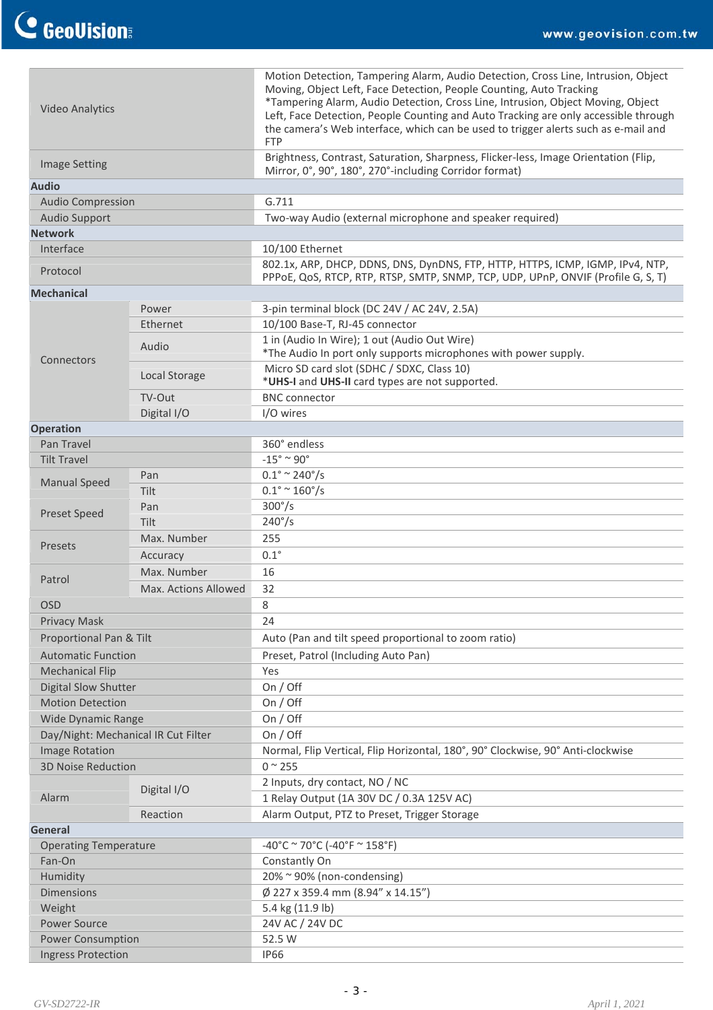| <b>Video Analytics</b>       |                                     | Motion Detection, Tampering Alarm, Audio Detection, Cross Line, Intrusion, Object<br>Moving, Object Left, Face Detection, People Counting, Auto Tracking<br>*Tampering Alarm, Audio Detection, Cross Line, Intrusion, Object Moving, Object<br>Left, Face Detection, People Counting and Auto Tracking are only accessible through<br>the camera's Web interface, which can be used to trigger alerts such as e-mail and<br><b>FTP</b> |  |  |  |
|------------------------------|-------------------------------------|----------------------------------------------------------------------------------------------------------------------------------------------------------------------------------------------------------------------------------------------------------------------------------------------------------------------------------------------------------------------------------------------------------------------------------------|--|--|--|
| <b>Image Setting</b>         |                                     | Brightness, Contrast, Saturation, Sharpness, Flicker-less, Image Orientation (Flip,<br>Mirror, 0°, 90°, 180°, 270°-including Corridor format)                                                                                                                                                                                                                                                                                          |  |  |  |
| <b>Audio</b>                 |                                     |                                                                                                                                                                                                                                                                                                                                                                                                                                        |  |  |  |
| <b>Audio Compression</b>     |                                     | G.711                                                                                                                                                                                                                                                                                                                                                                                                                                  |  |  |  |
| <b>Audio Support</b>         |                                     | Two-way Audio (external microphone and speaker required)                                                                                                                                                                                                                                                                                                                                                                               |  |  |  |
| <b>Network</b>               |                                     |                                                                                                                                                                                                                                                                                                                                                                                                                                        |  |  |  |
| Interface                    |                                     | 10/100 Ethernet                                                                                                                                                                                                                                                                                                                                                                                                                        |  |  |  |
| Protocol                     |                                     | 802.1x, ARP, DHCP, DDNS, DNS, DynDNS, FTP, HTTP, HTTPS, ICMP, IGMP, IPv4, NTP,<br>PPPOE, QOS, RTCP, RTP, RTSP, SMTP, SNMP, TCP, UDP, UPnP, ONVIF (Profile G, S, T)                                                                                                                                                                                                                                                                     |  |  |  |
| <b>Mechanical</b>            |                                     |                                                                                                                                                                                                                                                                                                                                                                                                                                        |  |  |  |
|                              | Power                               | 3-pin terminal block (DC 24V / AC 24V, 2.5A)                                                                                                                                                                                                                                                                                                                                                                                           |  |  |  |
|                              | Ethernet                            | 10/100 Base-T, RJ-45 connector                                                                                                                                                                                                                                                                                                                                                                                                         |  |  |  |
| Connectors                   | Audio                               | 1 in (Audio In Wire); 1 out (Audio Out Wire)<br>*The Audio In port only supports microphones with power supply.                                                                                                                                                                                                                                                                                                                        |  |  |  |
|                              | Local Storage                       | Micro SD card slot (SDHC / SDXC, Class 10)                                                                                                                                                                                                                                                                                                                                                                                             |  |  |  |
|                              |                                     | *UHS-I and UHS-II card types are not supported.                                                                                                                                                                                                                                                                                                                                                                                        |  |  |  |
|                              | TV-Out<br>Digital I/O               | <b>BNC</b> connector<br>I/O wires                                                                                                                                                                                                                                                                                                                                                                                                      |  |  |  |
| <b>Operation</b>             |                                     |                                                                                                                                                                                                                                                                                                                                                                                                                                        |  |  |  |
| Pan Travel                   |                                     | 360° endless                                                                                                                                                                                                                                                                                                                                                                                                                           |  |  |  |
| <b>Tilt Travel</b>           |                                     | $-15^{\circ}$ ~ 90°                                                                                                                                                                                                                                                                                                                                                                                                                    |  |  |  |
|                              | Pan                                 | $0.1^{\circ} \approx 240^{\circ}/s$                                                                                                                                                                                                                                                                                                                                                                                                    |  |  |  |
| <b>Manual Speed</b>          | Tilt                                | $0.1^{\circ} \sim 160^{\circ}/s$                                                                                                                                                                                                                                                                                                                                                                                                       |  |  |  |
|                              | Pan                                 | $300^{\circ}/s$                                                                                                                                                                                                                                                                                                                                                                                                                        |  |  |  |
| <b>Preset Speed</b>          | Tilt                                | $240^{\circ}/s$                                                                                                                                                                                                                                                                                                                                                                                                                        |  |  |  |
|                              | Max. Number                         | 255                                                                                                                                                                                                                                                                                                                                                                                                                                    |  |  |  |
| Presets                      | Accuracy                            | $0.1^\circ$                                                                                                                                                                                                                                                                                                                                                                                                                            |  |  |  |
|                              | Max. Number                         | 16                                                                                                                                                                                                                                                                                                                                                                                                                                     |  |  |  |
| Patrol                       | Max. Actions Allowed                | 32                                                                                                                                                                                                                                                                                                                                                                                                                                     |  |  |  |
| <b>OSD</b>                   |                                     | 8                                                                                                                                                                                                                                                                                                                                                                                                                                      |  |  |  |
| <b>Privacy Mask</b>          |                                     | 24                                                                                                                                                                                                                                                                                                                                                                                                                                     |  |  |  |
| Proportional Pan & Tilt      |                                     | Auto (Pan and tilt speed proportional to zoom ratio)                                                                                                                                                                                                                                                                                                                                                                                   |  |  |  |
| <b>Automatic Function</b>    |                                     | Preset, Patrol (Including Auto Pan)                                                                                                                                                                                                                                                                                                                                                                                                    |  |  |  |
| <b>Mechanical Flip</b>       |                                     | Yes                                                                                                                                                                                                                                                                                                                                                                                                                                    |  |  |  |
| <b>Digital Slow Shutter</b>  |                                     | On $/$ Off                                                                                                                                                                                                                                                                                                                                                                                                                             |  |  |  |
| <b>Motion Detection</b>      |                                     | On / Off                                                                                                                                                                                                                                                                                                                                                                                                                               |  |  |  |
| Wide Dynamic Range           |                                     | On / Off                                                                                                                                                                                                                                                                                                                                                                                                                               |  |  |  |
|                              | Day/Night: Mechanical IR Cut Filter | On / Off                                                                                                                                                                                                                                                                                                                                                                                                                               |  |  |  |
| <b>Image Rotation</b>        |                                     | Normal, Flip Vertical, Flip Horizontal, 180°, 90° Clockwise, 90° Anti-clockwise                                                                                                                                                                                                                                                                                                                                                        |  |  |  |
| <b>3D Noise Reduction</b>    |                                     | $0^{\sim} 255$                                                                                                                                                                                                                                                                                                                                                                                                                         |  |  |  |
| Alarm                        | Digital I/O                         | 2 Inputs, dry contact, NO / NC<br>1 Relay Output (1A 30V DC / 0.3A 125V AC)                                                                                                                                                                                                                                                                                                                                                            |  |  |  |
|                              | Reaction                            | Alarm Output, PTZ to Preset, Trigger Storage                                                                                                                                                                                                                                                                                                                                                                                           |  |  |  |
| General                      |                                     |                                                                                                                                                                                                                                                                                                                                                                                                                                        |  |  |  |
| <b>Operating Temperature</b> |                                     | $-40^{\circ}$ C ~ 70°C (-40°F ~ 158°F)                                                                                                                                                                                                                                                                                                                                                                                                 |  |  |  |
| Fan-On                       |                                     | Constantly On                                                                                                                                                                                                                                                                                                                                                                                                                          |  |  |  |
| Humidity                     |                                     | 20% ~ 90% (non-condensing)                                                                                                                                                                                                                                                                                                                                                                                                             |  |  |  |
| <b>Dimensions</b>            |                                     | Ø 227 x 359.4 mm (8.94" x 14.15")                                                                                                                                                                                                                                                                                                                                                                                                      |  |  |  |
| Weight                       |                                     | 5.4 kg (11.9 lb)                                                                                                                                                                                                                                                                                                                                                                                                                       |  |  |  |
| <b>Power Source</b>          |                                     | 24V AC / 24V DC                                                                                                                                                                                                                                                                                                                                                                                                                        |  |  |  |
| Power Consumption            |                                     | 52.5 W                                                                                                                                                                                                                                                                                                                                                                                                                                 |  |  |  |
| <b>Ingress Protection</b>    |                                     | <b>IP66</b>                                                                                                                                                                                                                                                                                                                                                                                                                            |  |  |  |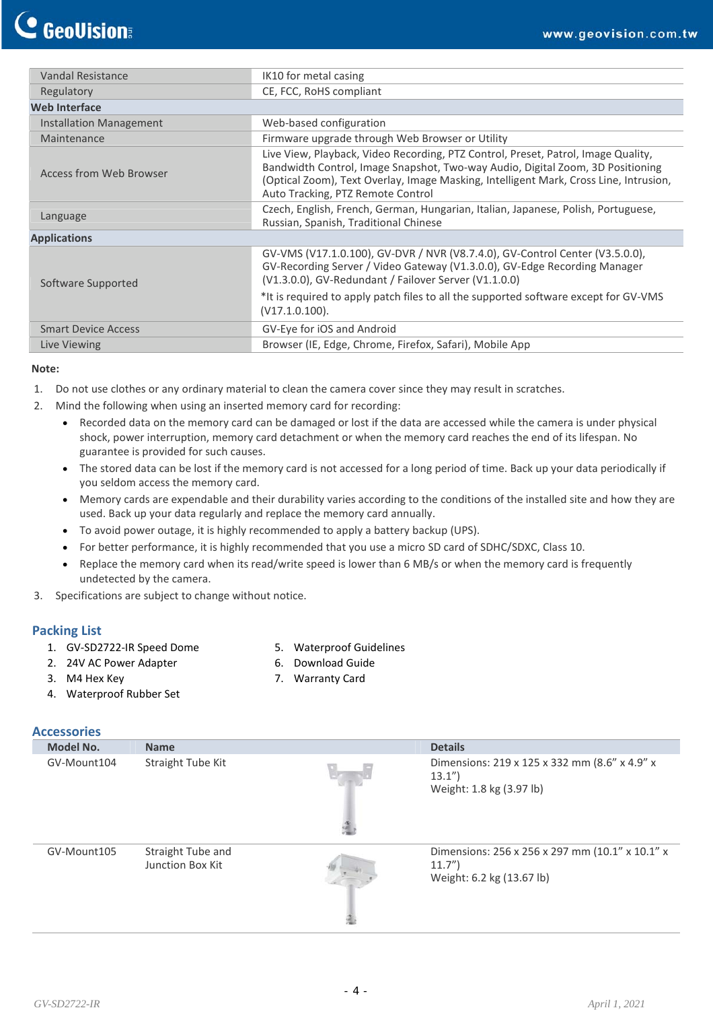| Vandal Resistance          | IK10 for metal casing                                                                                                                                                                                                                                                                                      |  |  |
|----------------------------|------------------------------------------------------------------------------------------------------------------------------------------------------------------------------------------------------------------------------------------------------------------------------------------------------------|--|--|
| Regulatory                 | CE, FCC, RoHS compliant                                                                                                                                                                                                                                                                                    |  |  |
| <b>Web Interface</b>       |                                                                                                                                                                                                                                                                                                            |  |  |
| Installation Management    | Web-based configuration                                                                                                                                                                                                                                                                                    |  |  |
| Maintenance                | Firmware upgrade through Web Browser or Utility                                                                                                                                                                                                                                                            |  |  |
| Access from Web Browser    | Live View, Playback, Video Recording, PTZ Control, Preset, Patrol, Image Quality,<br>Bandwidth Control, Image Snapshot, Two-way Audio, Digital Zoom, 3D Positioning<br>(Optical Zoom), Text Overlay, Image Masking, Intelligent Mark, Cross Line, Intrusion,<br>Auto Tracking, PTZ Remote Control          |  |  |
| Language                   | Czech, English, French, German, Hungarian, Italian, Japanese, Polish, Portuguese,<br>Russian, Spanish, Traditional Chinese                                                                                                                                                                                 |  |  |
| <b>Applications</b>        |                                                                                                                                                                                                                                                                                                            |  |  |
| Software Supported         | GV-VMS (V17.1.0.100), GV-DVR / NVR (V8.7.4.0), GV-Control Center (V3.5.0.0),<br>GV-Recording Server / Video Gateway (V1.3.0.0), GV-Edge Recording Manager<br>(V1.3.0.0), GV-Redundant / Failover Server (V1.1.0.0)<br>*It is required to apply patch files to all the supported software except for GV-VMS |  |  |
|                            | (V17.1.0.100).                                                                                                                                                                                                                                                                                             |  |  |
| <b>Smart Device Access</b> | GV-Eye for iOS and Android                                                                                                                                                                                                                                                                                 |  |  |
| Live Viewing               | Browser (IE, Edge, Chrome, Firefox, Safari), Mobile App                                                                                                                                                                                                                                                    |  |  |

#### **Note:**

- 1. Do not use clothes or any ordinary material to clean the camera cover since they may result in scratches.
- 2. Mind the following when using an inserted memory card for recording:
	- Recorded data on the memory card can be damaged or lost if the data are accessed while the camera is under physical shock, power interruption, memory card detachment or when the memory card reaches the end of its lifespan. No guarantee is provided for such causes.
	- The stored data can be lost if the memory card is not accessed for a long period of time. Back up your data periodically if you seldom access the memory card.
	- Memory cards are expendable and their durability varies according to the conditions of the installed site and how they are used. Back up your data regularly and replace the memory card annually.
	- To avoid power outage, it is highly recommended to apply a battery backup (UPS).
	- For better performance, it is highly recommended that you use a micro SD card of SDHC/SDXC, Class 10.
	- Replace the memory card when its read/write speed is lower than 6 MB/s or when the memory card is frequently undetected by the camera.
- 3. Specifications are subject to change without notice.

### **Packing List**

- 1. GV‐SD2722‐IR Speed Dome
- 5. Waterproof Guidelines
- 2. 24V AC Power Adapter 6. Download Guide 7. Warranty Card
- 3. M4 Hex Key
- 4. Waterproof Rubber Set

### **Accessories**

| Model No.   | <b>Name</b>                           | <b>Details</b>                                                                        |
|-------------|---------------------------------------|---------------------------------------------------------------------------------------|
| GV-Mount104 | Straight Tube Kit                     | Dimensions: 219 x 125 x 332 mm (8.6" x 4.9" x<br>13.1"<br>Weight: 1.8 kg (3.97 lb)    |
| GV-Mount105 | Straight Tube and<br>Junction Box Kit | Dimensions: 256 x 256 x 297 mm (10.1" x 10.1" x<br>11.7"<br>Weight: 6.2 kg (13.67 lb) |